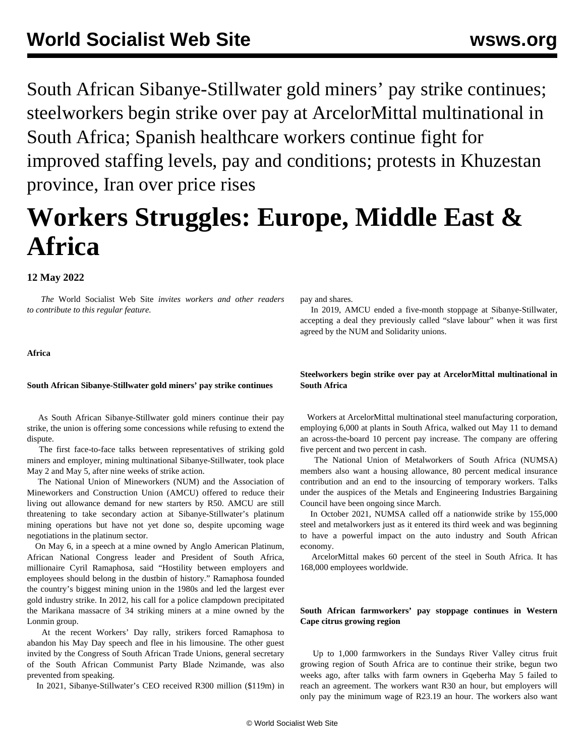South African Sibanye-Stillwater gold miners' pay strike continues; steelworkers begin strike over pay at ArcelorMittal multinational in South Africa; Spanish healthcare workers continue fight for improved staffing levels, pay and conditions; protests in Khuzestan province, Iran over price rises

# **Workers Struggles: Europe, Middle East & Africa**

# **12 May 2022**

 *The* World Socialist Web Site *invites workers and other readers to [contribute](/wsws/dd-formmailer/dd-formmailer.php) to this regular feature.*

pay and shares.

 In 2019, AMCU ended a five-month stoppage at Sibanye-Stillwater, accepting a deal they previously called "slave labour" when it was first agreed by the NUM and Solidarity unions.

# **Africa**

## **South African Sibanye-Stillwater gold miners' pay strike continues**

 As South African Sibanye-Stillwater gold miners continue their pay strike, the union is offering some concessions while refusing to extend the dispute.

 The first face-to-face talks between representatives of striking gold miners and employer, mining multinational Sibanye-Stillwater, took place May 2 and May 5, after nine weeks of strike action.

 The National Union of Mineworkers (NUM) and the Association of Mineworkers and Construction Union (AMCU) offered to reduce their living out allowance demand for new starters by R50. AMCU are still threatening to take secondary action at Sibanye-Stillwater's platinum mining operations but have not yet done so, despite upcoming wage negotiations in the platinum sector.

 On May 6, in a speech at a mine owned by Anglo American Platinum, African National Congress leader and President of South Africa, millionaire Cyril Ramaphosa, said "Hostility between employers and employees should belong in the dustbin of history." Ramaphosa founded the country's biggest mining union in the 1980s and led the largest ever gold industry strike. In 2012, his call for a police clampdown precipitated the Marikana massacre of 34 striking miners at a mine owned by the Lonmin group.

 At the recent Workers' Day rally, strikers forced Ramaphosa to abandon his May Day speech and flee in his limousine. The other guest invited by the Congress of South African Trade Unions, general secretary of the South African Communist Party Blade Nzimande, was also prevented from speaking.

In 2021, Sibanye-Stillwater's CEO received R300 million (\$119m) in

**Steelworkers begin strike over pay at ArcelorMittal multinational in South Africa**

 Workers at ArcelorMittal multinational steel manufacturing corporation, employing 6,000 at plants in South Africa, walked out May 11 to demand an across-the-board 10 percent pay increase. The company are offering five percent and two percent in cash.

 The National Union of Metalworkers of South Africa (NUMSA) members also want a housing allowance, 80 percent medical insurance contribution and an end to the insourcing of temporary workers. Talks under the auspices of the Metals and Engineering Industries Bargaining Council have been ongoing since March.

 In October 2021, NUMSA called off a nationwide strike by 155,000 steel and metalworkers just as it entered its third week and was beginning to have a powerful impact on the auto industry and South African economy.

 ArcelorMittal makes 60 percent of the steel in South Africa. It has 168,000 employees worldwide.

# **South African farmworkers' pay stoppage continues in Western Cape citrus growing region**

 Up to 1,000 farmworkers in the Sundays River Valley citrus fruit growing region of South Africa are to continue their strike, begun two weeks ago, after talks with farm owners in Gqeberha May 5 failed to reach an agreement. The workers want R30 an hour, but employers will only pay the minimum wage of R23.19 an hour. The workers also want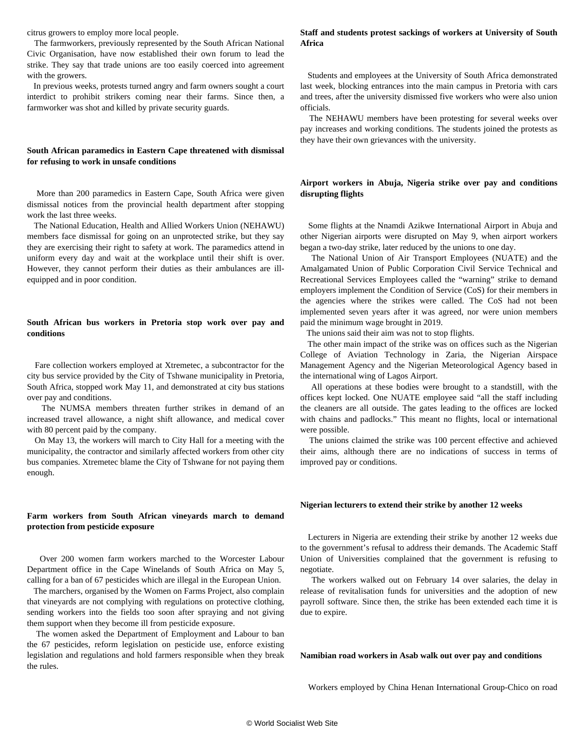citrus growers to employ more local people.

 The farmworkers, previously represented by the South African National Civic Organisation, have now established their own forum to lead the strike. They say that trade unions are too easily coerced into agreement with the growers.

 In previous weeks, protests turned angry and farm owners sought a court interdict to prohibit strikers coming near their farms. Since then, a farmworker was shot and killed by private security guards.

# **South African paramedics in Eastern Cape threatened with dismissal for refusing to work in unsafe conditions**

 More than 200 paramedics in Eastern Cape, South Africa were given dismissal notices from the provincial health department after stopping work the last three weeks.

 The National Education, Health and Allied Workers Union (NEHAWU) members face dismissal for going on an unprotected strike, but they say they are exercising their right to safety at work. The paramedics attend in uniform every day and wait at the workplace until their shift is over. However, they cannot perform their duties as their ambulances are illequipped and in poor condition.

## **South African bus workers in Pretoria stop work over pay and conditions**

 Fare collection workers employed at Xtremetec, a subcontractor for the city bus service provided by the City of Tshwane municipality in Pretoria, South Africa, stopped work May 11, and demonstrated at city bus stations over pay and conditions.

 The NUMSA members threaten further strikes in demand of an increased travel allowance, a night shift allowance, and medical cover with 80 percent paid by the company.

 On May 13, the workers will march to City Hall for a meeting with the municipality, the contractor and similarly affected workers from other city bus companies. Xtremetec blame the City of Tshwane for not paying them enough.

## **Farm workers from South African vineyards march to demand protection from pesticide exposure**

 Over 200 women farm workers marched to the Worcester Labour Department office in the Cape Winelands of South Africa on May 5, calling for a ban of 67 pesticides which are illegal in the European Union.

 The marchers, organised by the Women on Farms Project, also complain that vineyards are not complying with regulations on protective clothing, sending workers into the fields too soon after spraying and not giving them support when they become ill from pesticide exposure.

 The women asked the Department of Employment and Labour to ban the 67 pesticides, reform legislation on pesticide use, enforce existing legislation and regulations and hold farmers responsible when they break the rules.

## **Staff and students protest sackings of workers at University of South Africa**

 Students and employees at the University of South Africa demonstrated last week, blocking entrances into the main campus in Pretoria with cars and trees, after the university dismissed five workers who were also union officials.

 The NEHAWU members have been protesting for several weeks over pay increases and working conditions. The students joined the protests as they have their own grievances with the university.

## **Airport workers in Abuja, Nigeria strike over pay and conditions disrupting flights**

 Some flights at the Nnamdi Azikwe International Airport in Abuja and other Nigerian airports were disrupted on May 9, when airport workers began a two-day strike, later reduced by the unions to one day.

 The National Union of Air Transport Employees (NUATE) and the Amalgamated Union of Public Corporation Civil Service Technical and Recreational Services Employees called the "warning" strike to demand employers implement the Condition of Service (CoS) for their members in the agencies where the strikes were called. The CoS had not been implemented seven years after it was agreed, nor were union members paid the minimum wage brought in 2019.

The unions said their aim was not to stop flights.

 The other main impact of the strike was on offices such as the Nigerian College of Aviation Technology in Zaria, the Nigerian Airspace Management Agency and the Nigerian Meteorological Agency based in the international wing of Lagos Airport.

 All operations at these bodies were brought to a standstill, with the offices kept locked. One NUATE employee said "all the staff including the cleaners are all outside. The gates leading to the offices are locked with chains and padlocks." This meant no flights, local or international were possible.

 The unions claimed the strike was 100 percent effective and achieved their aims, although there are no indications of success in terms of improved pay or conditions.

#### **Nigerian lecturers to extend their strike by another 12 weeks**

 Lecturers in Nigeria are extending their strike by another 12 weeks due to the government's refusal to address their demands. The Academic Staff Union of Universities complained that the government is refusing to negotiate.

 The workers walked out on February 14 over salaries, the delay in release of revitalisation funds for universities and the adoption of new payroll software. Since then, the strike has been extended each time it is due to expire.

#### **Namibian road workers in Asab walk out over pay and conditions**

Workers employed by China Henan International Group-Chico on road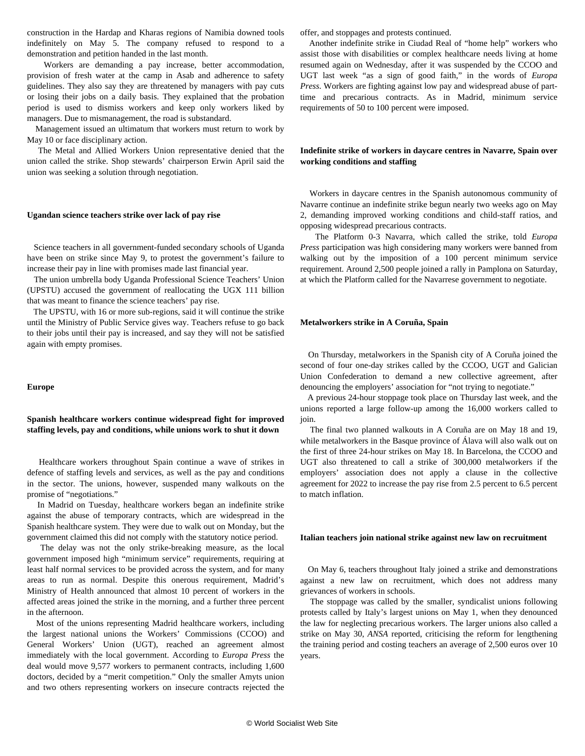construction in the Hardap and Kharas regions of Namibia downed tools indefinitely on May 5. The company refused to respond to a demonstration and petition handed in the last month.

 Workers are demanding a pay increase, better accommodation, provision of fresh water at the camp in Asab and adherence to safety guidelines. They also say they are threatened by managers with pay cuts or losing their jobs on a daily basis. They explained that the probation period is used to dismiss workers and keep only workers liked by managers. Due to mismanagement, the road is substandard.

 Management issued an ultimatum that workers must return to work by May 10 or face disciplinary action.

 The Metal and Allied Workers Union representative denied that the union called the strike. Shop stewards' chairperson Erwin April said the union was seeking a solution through negotiation.

#### **Ugandan science teachers strike over lack of pay rise**

 Science teachers in all government-funded secondary schools of Uganda have been on strike since May 9, to protest the government's failure to increase their pay in line with promises made last financial year.

 The union umbrella body Uganda Professional Science Teachers' Union (UPSTU) accused the government of reallocating the UGX 111 billion that was meant to finance the science teachers' pay rise.

 The UPSTU, with 16 or more sub-regions, said it will continue the strike until the Ministry of Public Service gives way. Teachers refuse to go back to their jobs until their pay is increased, and say they will not be satisfied again with empty promises.

#### **Europe**

## **Spanish healthcare workers continue widespread fight for improved staffing levels, pay and conditions, while unions work to shut it down**

 Healthcare workers throughout Spain continue a wave of strikes in defence of staffing levels and services, as well as the pay and conditions in the sector. The unions, however, suspended many walkouts on the promise of "negotiations."

 In Madrid on Tuesday, healthcare workers began an indefinite strike against the abuse of temporary contracts, which are widespread in the Spanish healthcare system. They were due to walk out on Monday, but the government claimed this did not comply with the statutory notice period.

 The delay was not the only strike-breaking measure, as the local government imposed high "minimum service" requirements, requiring at least half normal services to be provided across the system, and for many areas to run as normal. Despite this onerous requirement, Madrid's Ministry of Health announced that almost 10 percent of workers in the affected areas joined the strike in the morning, and a further three percent in the afternoon.

 Most of the unions representing Madrid healthcare workers, including the largest national unions the Workers' Commissions (CCOO) and General Workers' Union (UGT), reached an agreement almost immediately with the local government. According to *Europa Press* the deal would move 9,577 workers to permanent contracts, including 1,600 doctors, decided by a "merit competition." Only the smaller Amyts union and two others representing workers on insecure contracts rejected the offer, and stoppages and protests continued.

 Another indefinite strike in Ciudad Real of "home help" workers who assist those with disabilities or complex healthcare needs living at home resumed again on Wednesday, after it was suspended by the CCOO and UGT last week "as a sign of good faith," in the words of *Europa Press.* Workers are fighting against low pay and widespread abuse of parttime and precarious contracts. As in Madrid, minimum service requirements of 50 to 100 percent were imposed.

# **Indefinite strike of workers in daycare centres in Navarre, Spain over working conditions and staffing**

 Workers in daycare centres in the Spanish autonomous community of Navarre continue an indefinite strike begun nearly two weeks ago on May 2, demanding improved working conditions and child-staff ratios, and opposing widespread precarious contracts.

 The Platform 0-3 Navarra, which called the strike, told *Europa Press* participation was high considering many workers were banned from walking out by the imposition of a 100 percent minimum service requirement. Around 2,500 people joined a rally in Pamplona on Saturday, at which the Platform called for the Navarrese government to negotiate.

#### **Metalworkers strike in A Coruña, Spain**

 On Thursday, metalworkers in the Spanish city of A Coruña joined the second of four one-day strikes called by the CCOO, UGT and Galician Union Confederation to demand a new collective agreement, after denouncing the employers' association for "not trying to negotiate."

 A previous 24-hour stoppage took place on Thursday last week, and the unions reported a large follow-up among the 16,000 workers called to join.

 The final two planned walkouts in A Coruña are on May 18 and 19, while metalworkers in the Basque province of Álava will also walk out on the first of three 24-hour strikes on May 18. In Barcelona, the CCOO and UGT also threatened to call a strike of 300,000 metalworkers if the employers' association does not apply a clause in the collective agreement for 2022 to increase the pay rise from 2.5 percent to 6.5 percent to match inflation.

#### **Italian teachers join national strike against new law on recruitment**

 On May 6, teachers throughout Italy joined a strike and demonstrations against a new law on recruitment, which does not address many grievances of workers in schools.

 The stoppage was called by the smaller, syndicalist unions following protests called by Italy's largest unions on May 1, when they denounced the law for neglecting precarious workers. The larger unions also called a strike on May 30, *ANSA* reported, criticising the reform for lengthening the training period and costing teachers an average of 2,500 euros over 10 years.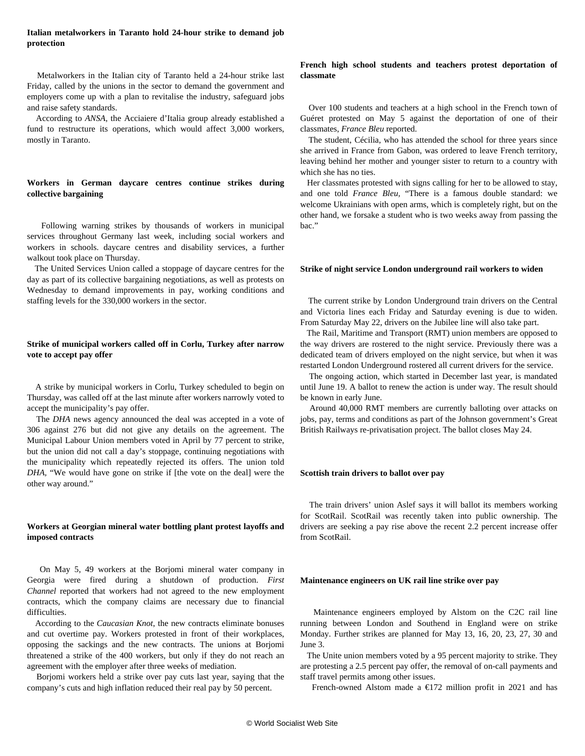## **Italian metalworkers in Taranto hold 24-hour strike to demand job protection**

 Metalworkers in the Italian city of Taranto held a 24-hour strike last Friday, called by the unions in the sector to demand the government and employers come up with a plan to revitalise the industry, safeguard jobs and raise safety standards.

 According to *ANSA*, the Acciaiere d'Italia group already established a fund to restructure its operations, which would affect 3,000 workers, mostly in Taranto.

# **Workers in German daycare centres continue strikes during collective bargaining**

 Following warning strikes by thousands of workers in municipal services throughout Germany last week, including social workers and workers in schools. daycare centres and disability services, a further walkout took place on Thursday.

 The United Services Union called a stoppage of daycare centres for the day as part of its collective bargaining negotiations, as well as protests on Wednesday to demand improvements in pay, working conditions and staffing levels for the 330,000 workers in the sector.

# **Strike of municipal workers called off in Corlu, Turkey after narrow vote to accept pay offer**

 A strike by municipal workers in Corlu, Turkey scheduled to begin on Thursday, was called off at the last minute after workers narrowly voted to accept the municipality's pay offer.

 The *DHA* news agency announced the deal was accepted in a vote of 306 against 276 but did not give any details on the agreement. The Municipal Labour Union members voted in April by 77 percent to strike, but the union did not call a day's stoppage, continuing negotiations with the municipality which repeatedly rejected its offers. The union told *DHA,* "We would have gone on strike if [the vote on the deal] were the other way around."

## **Workers at Georgian mineral water bottling plant protest layoffs and imposed contracts**

 On May 5, 49 workers at the Borjomi mineral water company in Georgia were fired during a shutdown of production. *First Channel* reported that workers had not agreed to the new employment contracts, which the company claims are necessary due to financial difficulties.

 According to the *Caucasian Knot*, the new contracts eliminate bonuses and cut overtime pay. Workers protested in front of their workplaces, opposing the sackings and the new contracts. The unions at Borjomi threatened a strike of the 400 workers, but only if they do not reach an agreement with the employer after three weeks of mediation.

 Borjomi workers held a strike over pay cuts last year, saying that the company's cuts and high inflation reduced their real pay by 50 percent.

## **French high school students and teachers protest deportation of classmate**

 Over 100 students and teachers at a high school in the French town of Guéret protested on May 5 against the deportation of one of their classmates, *France Bleu* reported.

 The student, Cécilia, who has attended the school for three years since she arrived in France from Gabon, was ordered to leave French territory, leaving behind her mother and younger sister to return to a country with which she has no ties.

 Her classmates protested with signs calling for her to be allowed to stay, and one told *France Bleu,* "There is a famous double standard: we welcome Ukrainians with open arms, which is completely right, but on the other hand, we forsake a student who is two weeks away from passing the bac."

#### **Strike of night service London underground rail workers to widen**

 The current strike by London Underground train drivers on the Central and Victoria lines each Friday and Saturday evening is due to widen. From Saturday May 22, drivers on the Jubilee line will also take part.

 The Rail, Maritime and Transport (RMT) union members are opposed to the way drivers are rostered to the night service. Previously there was a dedicated team of drivers employed on the night service, but when it was restarted London Underground rostered all current drivers for the service.

 The ongoing action, which started in December last year, is mandated until June 19. A ballot to renew the action is under way. The result should be known in early June.

 Around 40,000 RMT members are currently balloting over attacks on jobs, pay, terms and conditions as part of the Johnson government's Great British Railways re-privatisation project. The ballot closes May 24.

#### **Scottish train drivers to ballot over pay**

 The train drivers' union Aslef says it will ballot its members working for ScotRail. ScotRail was recently taken into public ownership. The drivers are seeking a pay rise above the recent 2.2 percent increase offer from ScotRail.

#### **Maintenance engineers on UK rail line strike over pay**

 Maintenance engineers employed by Alstom on the C2C rail line running between London and Southend in England were on strike Monday. Further strikes are planned for May 13, 16, 20, 23, 27, 30 and June 3.

 The Unite union members voted by a 95 percent majority to strike. They are protesting a 2.5 percent pay offer, the removal of on-call payments and staff travel permits among other issues.

French-owned Alstom made a €172 million profit in 2021 and has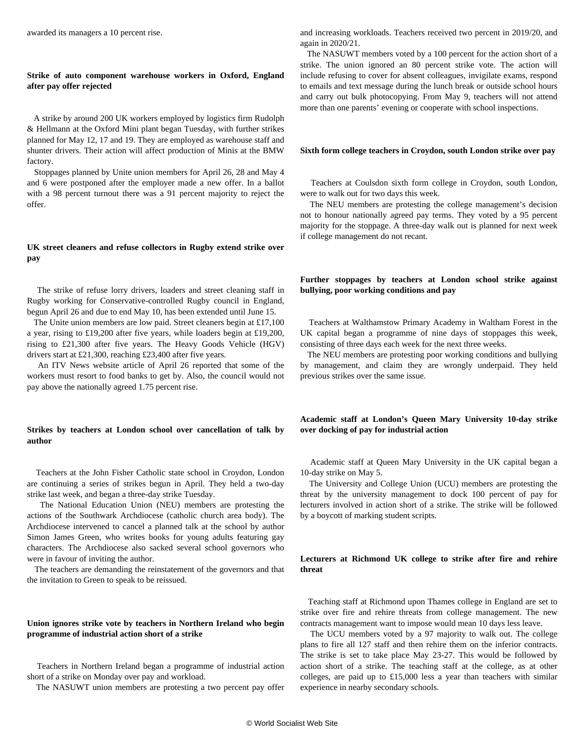awarded its managers a 10 percent rise.

## **Strike of auto component warehouse workers in Oxford, England after pay offer rejected**

 A strike by around 200 UK workers employed by logistics firm Rudolph & Hellmann at the Oxford Mini plant began Tuesday, with further strikes planned for May 12, 17 and 19. They are employed as warehouse staff and shunter drivers. Their action will affect production of Minis at the BMW factory.

 Stoppages planned by Unite union members for April 26, 28 and May 4 and 6 were postponed after the employer made a new offer. In a ballot with a 98 percent turnout there was a 91 percent majority to reject the offer.

# **UK street cleaners and refuse collectors in Rugby extend strike over pay**

 The strike of refuse lorry drivers, loaders and street cleaning staff in Rugby working for Conservative-controlled Rugby council in England, begun April 26 and due to end May 10, has been extended until June 15.

 The Unite union members are low paid. Street cleaners begin at £17,100 a year, rising to £19,200 after five years, while loaders begin at £19,200, rising to £21,300 after five years. The Heavy Goods Vehicle (HGV) drivers start at £21,300, reaching £23,400 after five years.

 An ITV News website article of April 26 reported that some of the workers must resort to food banks to get by. Also, the council would not pay above the nationally agreed 1.75 percent rise.

# **Strikes by teachers at London school over cancellation of talk by author**

 Teachers at the John Fisher Catholic state school in Croydon, London are continuing a series of strikes begun in April. They held a two-day strike last week, and began a three-day strike Tuesday.

 The National Education Union (NEU) members are protesting the actions of the Southwark Archdiocese (catholic church area body). The Archdiocese intervened to cancel a planned talk at the school by author Simon James Green, who writes books for young adults featuring gay characters. The Archdiocese also sacked several school governors who were in favour of inviting the author.

 The teachers are demanding the reinstatement of the governors and that the invitation to Green to speak to be reissued.

# **Union ignores strike vote by teachers in Northern Ireland who begin programme of industrial action short of a strike**

 Teachers in Northern Ireland began a programme of industrial action short of a strike on Monday over pay and workload.

The NASUWT union members are protesting a two percent pay offer

and increasing workloads. Teachers received two percent in 2019/20, and again in 2020/21.

 The NASUWT members voted by a 100 percent for the action short of a strike. The union ignored an 80 percent strike vote. The action will include refusing to cover for absent colleagues, invigilate exams, respond to emails and text message during the lunch break or outside school hours and carry out bulk photocopying. From May 9, teachers will not attend more than one parents' evening or cooperate with school inspections.

### **Sixth form college teachers in Croydon, south London strike over pay**

 Teachers at Coulsdon sixth form college in Croydon, south London, were to walk out for two days this week.

 The NEU members are protesting the college management's decision not to honour nationally agreed pay terms. They voted by a 95 percent majority for the stoppage. A three-day walk out is planned for next week if college management do not recant.

## **Further stoppages by teachers at London school strike against bullying, poor working conditions and pay**

 Teachers at Walthamstow Primary Academy in Waltham Forest in the UK capital began a programme of nine days of stoppages this week, consisting of three days each week for the next three weeks.

 The NEU members are protesting poor working conditions and bullying by management, and claim they are wrongly underpaid. They held previous strikes over the same issue.

# **Academic staff at London's Queen Mary University 10-day strike over docking of pay for industrial action**

 Academic staff at Queen Mary University in the UK capital began a 10-day strike on May 5.

 The University and College Union (UCU) members are protesting the threat by the university management to dock 100 percent of pay for lecturers involved in action short of a strike. The strike will be followed by a boycott of marking student scripts.

## **Lecturers at Richmond UK college to strike after fire and rehire threat**

 Teaching staff at Richmond upon Thames college in England are set to strike over fire and rehire threats from college management. The new contracts management want to impose would mean 10 days less leave.

 The UCU members voted by a 97 majority to walk out. The college plans to fire all 127 staff and then rehire them on the inferior contracts. The strike is set to take place May 23-27. This would be followed by action short of a strike. The teaching staff at the college, as at other colleges, are paid up to £15,000 less a year than teachers with similar experience in nearby secondary schools.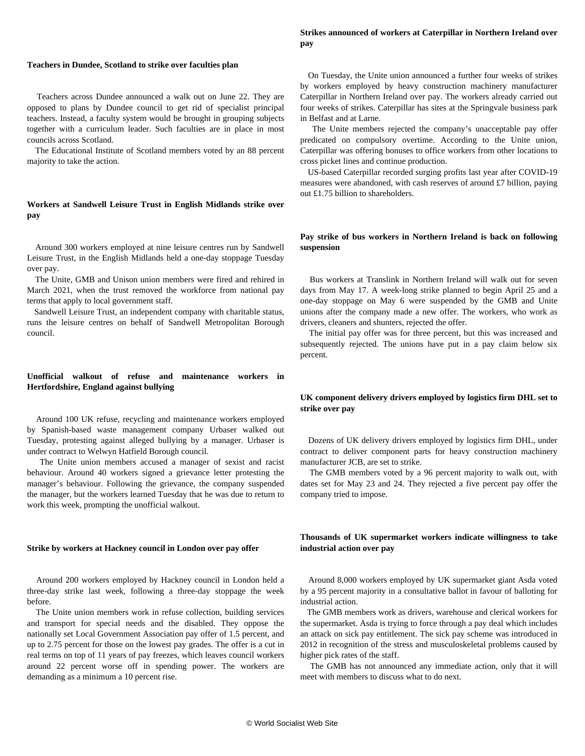## **Strikes announced of workers at Caterpillar in Northern Ireland over pay**

#### **Teachers in Dundee, Scotland to strike over faculties plan**

 Teachers across Dundee announced a walk out on June 22. They are opposed to plans by Dundee council to get rid of specialist principal teachers. Instead, a faculty system would be brought in grouping subjects together with a curriculum leader. Such faculties are in place in most councils across Scotland.

 The Educational Institute of Scotland members voted by an 88 percent majority to take the action.

# **Workers at Sandwell Leisure Trust in English Midlands strike over pay**

 Around 300 workers employed at nine leisure centres run by Sandwell Leisure Trust, in the English Midlands held a one-day stoppage Tuesday over pay.

 The Unite, GMB and Unison union members were fired and rehired in March 2021, when the trust removed the workforce from national pay terms that apply to local government staff.

 Sandwell Leisure Trust, an independent company with charitable status, runs the leisure centres on behalf of Sandwell Metropolitan Borough council.

# **Unofficial walkout of refuse and maintenance workers in Hertfordshire, England against bullying**

 Around 100 UK refuse, recycling and maintenance workers employed by Spanish-based waste management company Urbaser walked out Tuesday, protesting against alleged bullying by a manager. Urbaser is under contract to Welwyn Hatfield Borough council.

 The Unite union members accused a manager of sexist and racist behaviour. Around 40 workers signed a grievance letter protesting the manager's behaviour. Following the grievance, the company suspended the manager, but the workers learned Tuesday that he was due to return to work this week, prompting the unofficial walkout.

#### **Strike by workers at Hackney council in London over pay offer**

 Around 200 workers employed by Hackney council in London held a three-day strike last week, following a three-day stoppage the week before.

 The Unite union members work in refuse collection, building services and transport for special needs and the disabled. They oppose the nationally set Local Government Association pay offer of 1.5 percent, and up to 2.75 percent for those on the lowest pay grades. The offer is a cut in real terms on top of 11 years of pay freezes, which leaves council workers around 22 percent worse off in spending power. The workers are demanding as a minimum a 10 percent rise.

 On Tuesday, the Unite union announced a further four weeks of strikes by workers employed by heavy construction machinery manufacturer Caterpillar in Northern Ireland over pay. The workers already carried out four weeks of strikes. Caterpillar has sites at the Springvale business park in Belfast and at Larne.

 The Unite members rejected the company's unacceptable pay offer predicated on compulsory overtime. According to the Unite union, Caterpillar was offering bonuses to office workers from other locations to cross picket lines and continue production.

 US-based Caterpillar recorded surging profits last year after COVID-19 measures were abandoned, with cash reserves of around £7 billion, paying out £1.75 billion to shareholders.

## **Pay strike of bus workers in Northern Ireland is back on following suspension**

 Bus workers at Translink in Northern Ireland will walk out for seven days from May 17. A week-long strike planned to begin April 25 and a one-day stoppage on May 6 were suspended by the GMB and Unite unions after the company made a new offer. The workers, who work as drivers, cleaners and shunters, rejected the offer.

 The initial pay offer was for three percent, but this was increased and subsequently rejected. The unions have put in a pay claim below six percent.

# **UK component delivery drivers employed by logistics firm DHL set to strike over pay**

 Dozens of UK delivery drivers employed by logistics firm DHL, under contract to deliver component parts for heavy construction machinery manufacturer JCB, are set to strike.

 The GMB members voted by a 96 percent majority to walk out, with dates set for May 23 and 24. They rejected a five percent pay offer the company tried to impose.

## **Thousands of UK supermarket workers indicate willingness to take industrial action over pay**

 Around 8,000 workers employed by UK supermarket giant Asda voted by a 95 percent majority in a consultative ballot in favour of balloting for industrial action.

 The GMB members work as drivers, warehouse and clerical workers for the supermarket. Asda is trying to force through a pay deal which includes an attack on sick pay entitlement. The sick pay scheme was introduced in 2012 in recognition of the stress and musculoskeletal problems caused by higher pick rates of the staff.

 The GMB has not announced any immediate action, only that it will meet with members to discuss what to do next.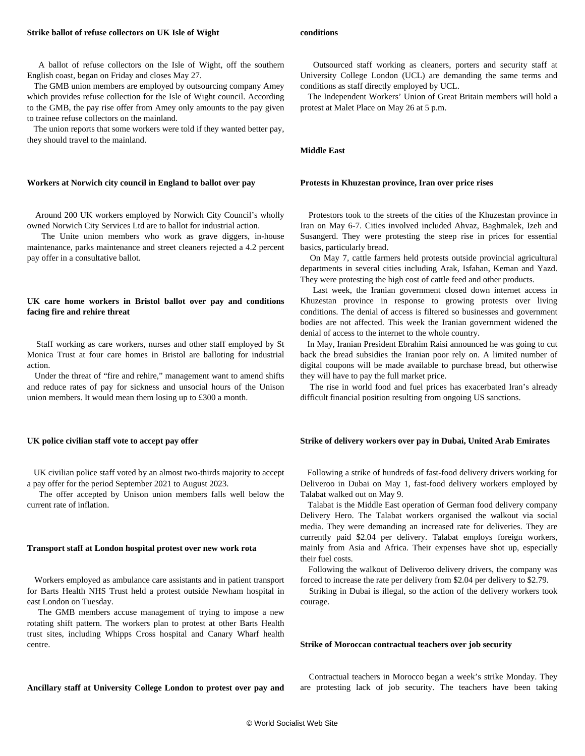#### **Strike ballot of refuse collectors on UK Isle of Wight**

 A ballot of refuse collectors on the Isle of Wight, off the southern English coast, began on Friday and closes May 27.

 The GMB union members are employed by outsourcing company Amey which provides refuse collection for the Isle of Wight council. According to the GMB, the pay rise offer from Amey only amounts to the pay given to trainee refuse collectors on the mainland.

 The union reports that some workers were told if they wanted better pay, they should travel to the mainland.

#### **Workers at Norwich city council in England to ballot over pay**

 Around 200 UK workers employed by Norwich City Council's wholly owned Norwich City Services Ltd are to ballot for industrial action.

 The Unite union members who work as grave diggers, in-house maintenance, parks maintenance and street cleaners rejected a 4.2 percent pay offer in a consultative ballot.

### **UK care home workers in Bristol ballot over pay and conditions facing fire and rehire threat**

 Staff working as care workers, nurses and other staff employed by St Monica Trust at four care homes in Bristol are balloting for industrial action.

 Under the threat of "fire and rehire," management want to amend shifts and reduce rates of pay for sickness and unsocial hours of the Unison union members. It would mean them losing up to £300 a month.

#### **UK police civilian staff vote to accept pay offer**

 UK civilian police staff voted by an almost two-thirds majority to accept a pay offer for the period September 2021 to August 2023.

 The offer accepted by Unison union members falls well below the current rate of inflation.

#### **Transport staff at London hospital protest over new work rota**

 Workers employed as ambulance care assistants and in patient transport for Barts Health NHS Trust held a protest outside Newham hospital in east London on Tuesday.

 The GMB members accuse management of trying to impose a new rotating shift pattern. The workers plan to protest at other Barts Health trust sites, including Whipps Cross hospital and Canary Wharf health centre.

#### **Ancillary staff at University College London to protest over pay and**

**conditions**

 Outsourced staff working as cleaners, porters and security staff at University College London (UCL) are demanding the same terms and conditions as staff directly employed by UCL.

 The Independent Workers' Union of Great Britain members will hold a protest at Malet Place on May 26 at 5 p.m.

**Middle East**

#### **Protests in Khuzestan province, Iran over price rises**

 Protestors took to the streets of the cities of the Khuzestan province in Iran on May 6-7. Cities involved included Ahvaz, Baghmalek, Izeh and Susangerd. They were protesting the steep rise in prices for essential basics, particularly bread.

 On May 7, cattle farmers held protests outside provincial agricultural departments in several cities including Arak, Isfahan, Keman and Yazd. They were protesting the high cost of cattle feed and other products.

 Last week, the Iranian government closed down internet access in Khuzestan province in response to growing protests over living conditions. The denial of access is filtered so businesses and government bodies are not affected. This week the Iranian government widened the denial of access to the internet to the whole country.

 In May, Iranian President Ebrahim Raisi announced he was going to cut back the bread subsidies the Iranian poor rely on. A limited number of digital coupons will be made available to purchase bread, but otherwise they will have to pay the full market price.

 The rise in world food and fuel prices has exacerbated Iran's already difficult financial position resulting from ongoing US sanctions.

#### **Strike of delivery workers over pay in Dubai, United Arab Emirates**

 Following a strike of hundreds of fast-food delivery drivers working for Deliveroo in Dubai on May 1, fast-food delivery workers employed by Talabat walked out on May 9.

 Talabat is the Middle East operation of German food delivery company Delivery Hero. The Talabat workers organised the walkout via social media. They were demanding an increased rate for deliveries. They are currently paid \$2.04 per delivery. Talabat employs foreign workers, mainly from Asia and Africa. Their expenses have shot up, especially their fuel costs.

 Following the walkout of Deliveroo delivery drivers, the company was forced to increase the rate per delivery from \$2.04 per delivery to \$2.79.

 Striking in Dubai is illegal, so the action of the delivery workers took courage.

#### **Strike of Moroccan contractual teachers over job security**

 Contractual teachers in Morocco began a week's strike Monday. They are protesting lack of job security. The teachers have been taking